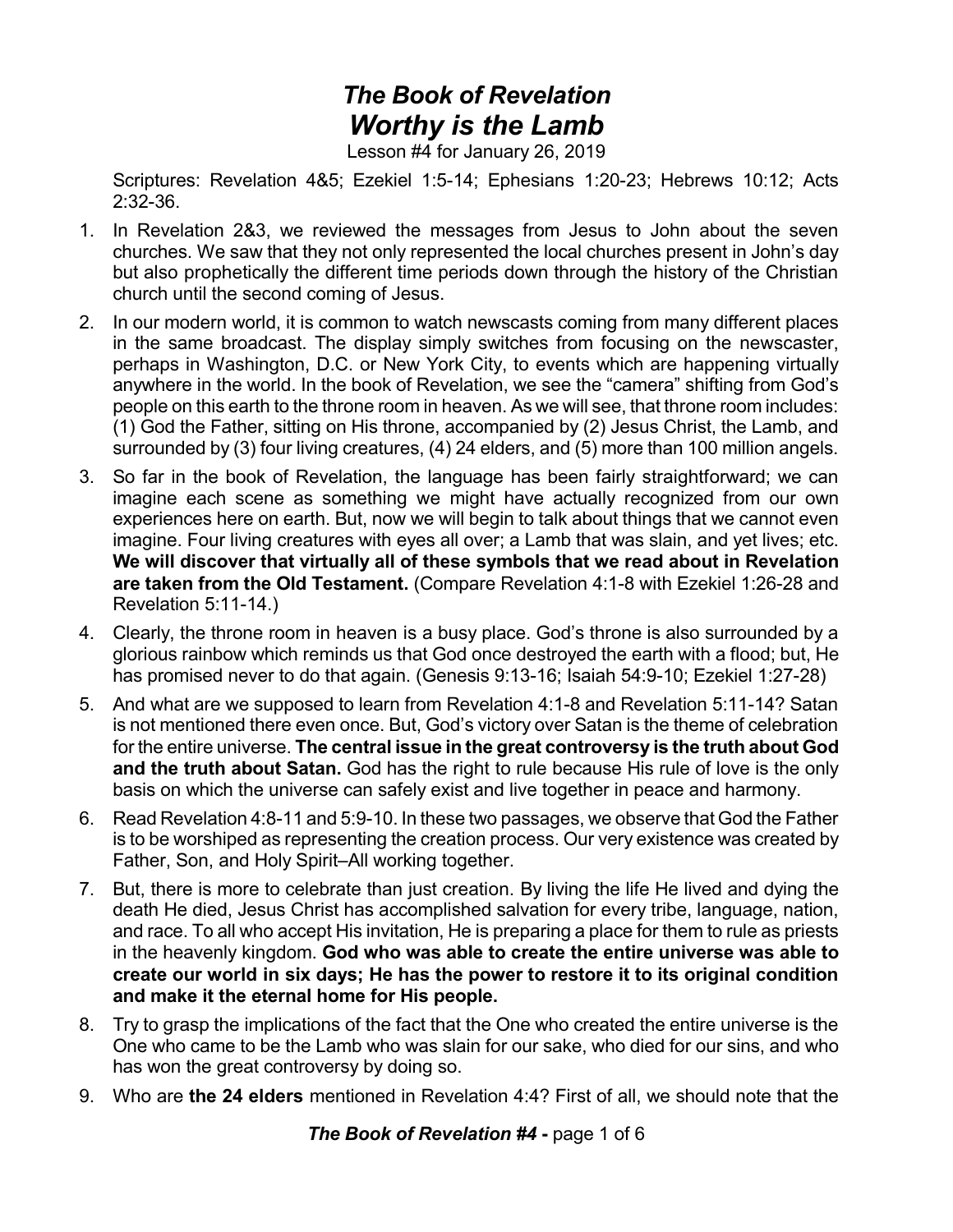## *The Book of Revelation Worthy is the Lamb*

Lesson #4 for January 26, 2019

Scriptures: Revelation 4&5; Ezekiel 1:5-14; Ephesians 1:20-23; Hebrews 10:12; Acts 2:32-36.

- 1. In Revelation 2&3, we reviewed the messages from Jesus to John about the seven churches. We saw that they not only represented the local churches present in John's day but also prophetically the different time periods down through the history of the Christian church until the second coming of Jesus.
- 2. In our modern world, it is common to watch newscasts coming from many different places in the same broadcast. The display simply switches from focusing on the newscaster, perhaps in Washington, D.C. or New York City, to events which are happening virtually anywhere in the world. In the book of Revelation, we see the "camera" shifting from God's people on this earth to the throne room in heaven. As we will see, that throne room includes: (1) God the Father, sitting on His throne, accompanied by (2) Jesus Christ, the Lamb, and surrounded by (3) four living creatures, (4) 24 elders, and (5) more than 100 million angels.
- 3. So far in the book of Revelation, the language has been fairly straightforward; we can imagine each scene as something we might have actually recognized from our own experiences here on earth. But, now we will begin to talk about things that we cannot even imagine. Four living creatures with eyes all over; a Lamb that was slain, and yet lives; etc. **We will discover that virtually all of these symbols that we read about in Revelation are taken from the Old Testament.** (Compare Revelation 4:1-8 with Ezekiel 1:26-28 and Revelation 5:11-14.)
- 4. Clearly, the throne room in heaven is a busy place. God's throne is also surrounded by a glorious rainbow which reminds us that God once destroyed the earth with a flood; but, He has promised never to do that again. (Genesis 9:13-16; Isaiah 54:9-10; Ezekiel 1:27-28)
- 5. And what are we supposed to learn from Revelation 4:1-8 and Revelation 5:11-14? Satan is not mentioned there even once. But, God's victory over Satan is the theme of celebration for the entire universe. **The central issue in the great controversy is the truth about God and the truth about Satan.** God has the right to rule because His rule of love is the only basis on which the universe can safely exist and live together in peace and harmony.
- 6. Read Revelation 4:8-11 and 5:9-10. In these two passages, we observe that God the Father is to be worshiped as representing the creation process. Our very existence was created by Father, Son, and Holy Spirit–All working together.
- 7. But, there is more to celebrate than just creation. By living the life He lived and dying the death He died, Jesus Christ has accomplished salvation for every tribe, language, nation, and race. To all who accept His invitation, He is preparing a place for them to rule as priests in the heavenly kingdom. **God who was able to create the entire universe was able to create our world in six days; He has the power to restore it to its original condition and make it the eternal home for His people.**
- 8. Try to grasp the implications of the fact that the One who created the entire universe is the One who came to be the Lamb who was slain for our sake, who died for our sins, and who has won the great controversy by doing so.
- 9. Who are **the 24 elders** mentioned in Revelation 4:4? First of all, we should note that the

*The Book of Revelation #4* **-** page 1 of 6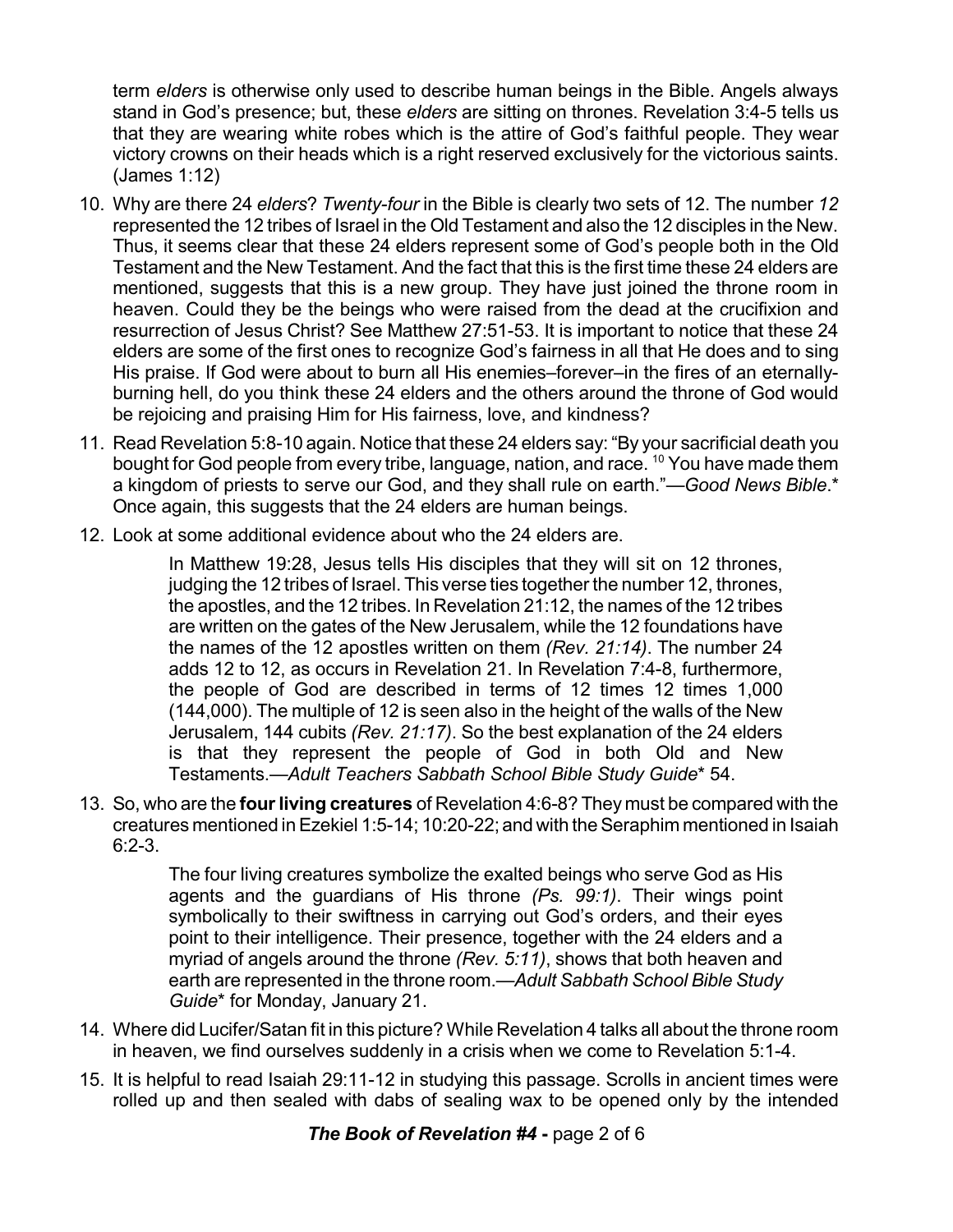term *elders* is otherwise only used to describe human beings in the Bible. Angels always stand in God's presence; but, these *elders* are sitting on thrones. Revelation 3:4-5 tells us that they are wearing white robes which is the attire of God's faithful people. They wear victory crowns on their heads which is a right reserved exclusively for the victorious saints. (James 1:12)

- 10. Why are there 24 *elders*? *Twenty-four* in the Bible is clearly two sets of 12. The number *12* represented the 12 tribes of Israel in the Old Testament and also the 12 disciples in the New. Thus, it seems clear that these 24 elders represent some of God's people both in the Old Testament and the New Testament. And the fact that this is the first time these 24 elders are mentioned, suggests that this is a new group. They have just joined the throne room in heaven. Could they be the beings who were raised from the dead at the crucifixion and resurrection of Jesus Christ? See Matthew 27:51-53. It is important to notice that these 24 elders are some of the first ones to recognize God's fairness in all that He does and to sing His praise. If God were about to burn all His enemies–forever–in the fires of an eternallyburning hell, do you think these 24 elders and the others around the throne of God would be rejoicing and praising Him for His fairness, love, and kindness?
- 11. Read Revelation 5:8-10 again. Notice that these 24 elders say: "By your sacrificial death you bought for God people from every tribe, language, nation, and race. <sup>10</sup> You have made them a kingdom of priests to serve our God, and they shall rule on earth."—*Good News Bible*.\* Once again, this suggests that the 24 elders are human beings.
- 12. Look at some additional evidence about who the 24 elders are.

In Matthew 19:28, Jesus tells His disciples that they will sit on 12 thrones, judging the 12 tribes of Israel. This verse ties together the number 12, thrones, the apostles, and the 12 tribes. In Revelation 21:12, the names of the 12 tribes are written on the gates of the New Jerusalem, while the 12 foundations have the names of the 12 apostles written on them *(Rev. 21:14)*. The number 24 adds 12 to 12, as occurs in Revelation 21. In Revelation 7:4-8, furthermore, the people of God are described in terms of 12 times 12 times 1,000 (144,000). The multiple of 12 is seen also in the height of the walls of the New Jerusalem, 144 cubits *(Rev. 21:17)*. So the best explanation of the 24 elders is that they represent the people of God in both Old and New Testaments.—*Adult Teachers Sabbath School Bible Study Guide*\* 54.

13. So, who are the **fourliving creatures** of Revelation 4:6-8? They must be compared with the creatures mentioned inEzekiel 1:5-14; 10:20-22; and with theSeraphim mentioned in Isaiah 6:2-3.

> The four living creatures symbolize the exalted beings who serve God as His agents and the guardians of His throne *(Ps. 99:1)*. Their wings point symbolically to their swiftness in carrying out God's orders, and their eyes point to their intelligence. Their presence, together with the 24 elders and a myriad of angels around the throne *(Rev. 5:11)*, shows that both heaven and earth are represented in the throne room.—*Adult Sabbath School Bible Study Guide*\* for Monday, January 21.

- 14. Where did Lucifer/Satan fit in this picture? While Revelation 4 talks all about the throne room in heaven, we find ourselves suddenly in a crisis when we come to Revelation 5:1-4.
- 15. It is helpful to read Isaiah 29:11-12 in studying this passage. Scrolls in ancient times were rolled up and then sealed with dabs of sealing wax to be opened only by the intended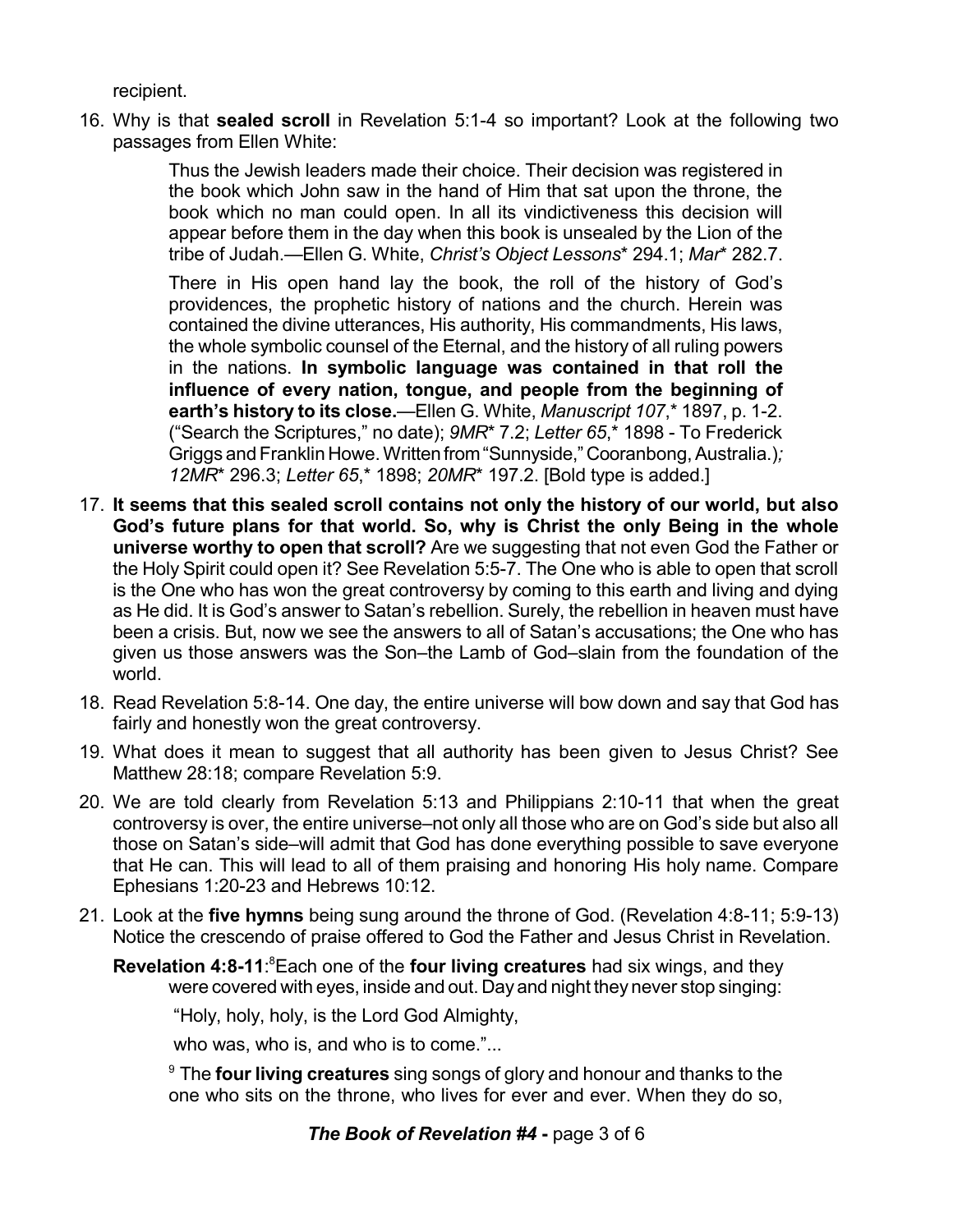recipient.

16. Why is that **sealed scroll** in Revelation 5:1-4 so important? Look at the following two passages from Ellen White:

> Thus the Jewish leaders made their choice. Their decision was registered in the book which John saw in the hand of Him that sat upon the throne, the book which no man could open. In all its vindictiveness this decision will appear before them in the day when this book is unsealed by the Lion of the tribe of Judah.—Ellen G. White, *Christ's Object Lessons*\* 294.1; *Mar*\* 282.7.

> There in His open hand lay the book, the roll of the history of God's providences, the prophetic history of nations and the church. Herein was contained the divine utterances, His authority, His commandments, His laws, the whole symbolic counsel of the Eternal, and the history of all ruling powers in the nations. **In symbolic language was contained in that roll the influence of every nation, tongue, and people from the beginning of earth's history to its close.**—Ellen G. White, *Manuscript 107*,\* 1897, p. 1-2. ("Search the Scriptures," no date); *9MR*\* 7.2; *Letter 65*,\* 1898 - To Frederick Griggs and Franklin Howe. Written from "Sunnyside," Cooranbong, Australia.); *12MR*\* 296.3; *Letter 65*,\* 1898; *20MR*\* 197.2. [Bold type is added.]

- 17. **It seems that this sealed scroll contains not only the history of our world, but also God's future plans for that world. So, why is Christ the only Being in the whole universe worthy to open that scroll?** Are we suggesting that not even God the Father or the Holy Spirit could open it? See Revelation 5:5-7. The One who is able to open that scroll is the One who has won the great controversy by coming to this earth and living and dying as He did. It is God's answer to Satan's rebellion. Surely, the rebellion in heaven must have been a crisis. But, now we see the answers to all of Satan's accusations; the One who has given us those answers was the Son–the Lamb of God–slain from the foundation of the world.
- 18. Read Revelation 5:8-14. One day, the entire universe will bow down and say that God has fairly and honestly won the great controversy.
- 19. What does it mean to suggest that all authority has been given to Jesus Christ? See Matthew 28:18; compare Revelation 5:9.
- 20. We are told clearly from Revelation 5:13 and Philippians 2:10-11 that when the great controversy is over, the entire universe–not only all those who are on God's side but also all those on Satan's side–will admit that God has done everything possible to save everyone that He can. This will lead to all of them praising and honoring His holy name. Compare Ephesians 1:20-23 and Hebrews 10:12.
- 21. Look at the **five hymns** being sung around the throne of God. (Revelation 4:8-11; 5:9-13) Notice the crescendo of praise offered to God the Father and Jesus Christ in Revelation.
	- **Revelation 4:8-11:**<sup>8</sup> Each one of the **four living creatures** had six wings, and they were covered with eyes, inside and out. Day and night they never stop singing:

"Holy, holy, holy, is the Lord God Almighty,

who was, who is, and who is to come."...

<sup>9</sup> The **four living creatures** sing songs of glory and honour and thanks to the one who sits on the throne, who lives for ever and ever. When they do so,

## *The Book of Revelation #4* **-** page 3 of 6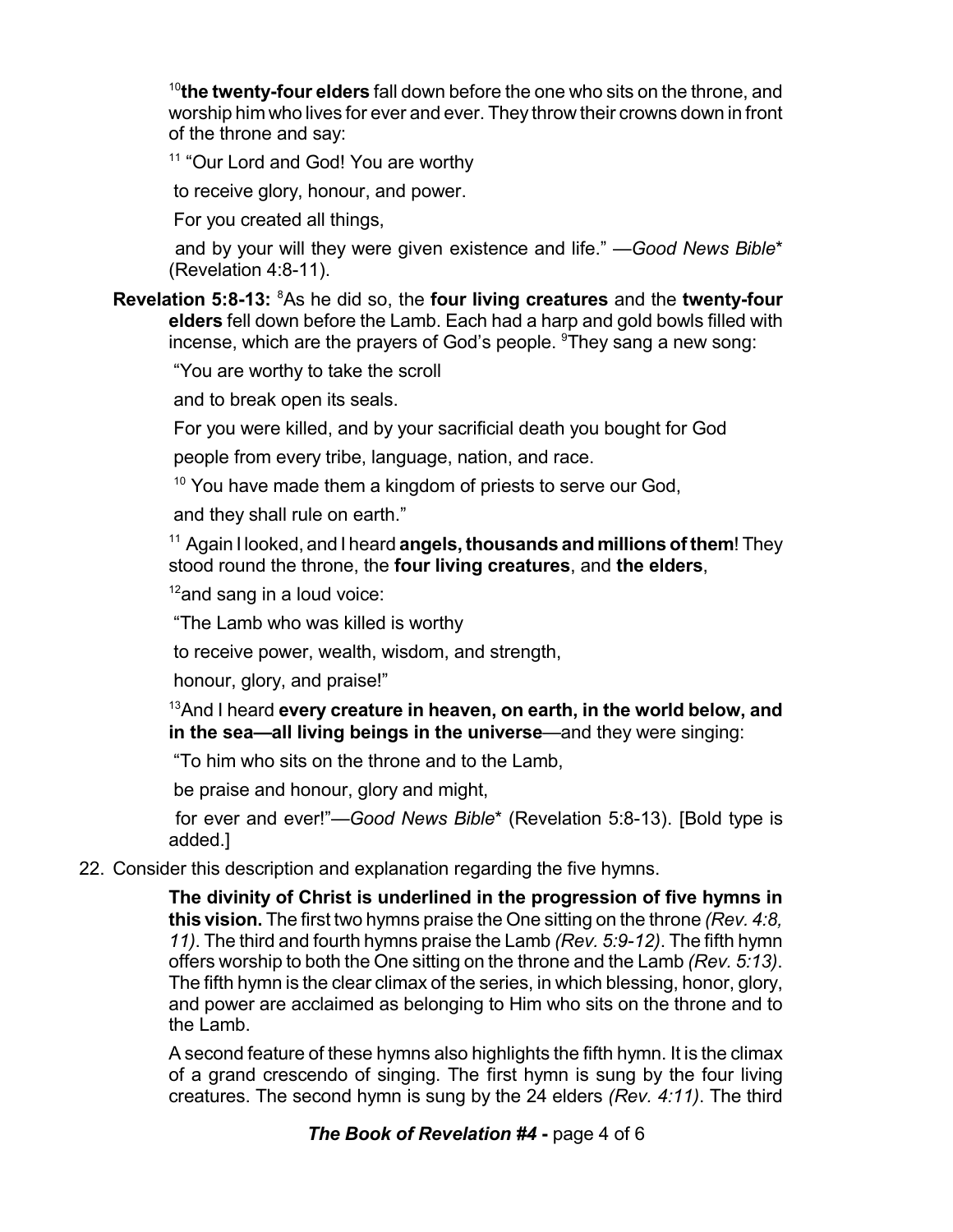<sup>10</sup>**the twenty-four elders** fall down before the one who sits on the throne, and worship him who lives for ever and ever. They throw their crowns down in front of the throne and say:

<sup>11</sup> "Our Lord and God! You are worthy

to receive glory, honour, and power.

For you created all things,

and by your will they were given existence and life." —*Good News Bible*\* (Revelation 4:8-11).

**Revelation 5:8-13:** <sup>8</sup>As he did so, the **four living creatures** and the **twenty-four elders** fell down before the Lamb. Each had a harp and gold bowls filled with incense, which are the prayers of God's people. <sup>9</sup>They sang a new song:

"You are worthy to take the scroll

and to break open its seals.

For you were killed, and by your sacrificial death you bought for God

people from every tribe, language, nation, and race.

<sup>10</sup> You have made them a kingdom of priests to serve our God,

and they shall rule on earth."

<sup>11</sup> Again I looked, and I heard **angels,thousands and millions of them**! They stood round the throne, the **four living creatures**, and **the elders**,

 $12$ and sang in a loud voice:

"The Lamb who was killed is worthy

to receive power, wealth, wisdom, and strength,

honour, glory, and praise!"

<sup>13</sup>And I heard **every creature in heaven, on earth, in the world below, and in the sea—all living beings in the universe**—and they were singing:

"To him who sits on the throne and to the Lamb,

be praise and honour, glory and might,

for ever and ever!"—*Good News Bible*\* (Revelation 5:8-13). [Bold type is added.]

22. Consider this description and explanation regarding the five hymns.

**The divinity of Christ is underlined in the progression of five hymns in this vision.** The first two hymns praise the One sitting on the throne *(Rev. 4:8, 11)*. The third and fourth hymns praise the Lamb *(Rev. 5:9-12)*. The fifth hymn offers worship to both the One sitting on the throne and the Lamb *(Rev. 5:13)*. The fifth hymn is the clear climax of the series, in which blessing, honor, glory, and power are acclaimed as belonging to Him who sits on the throne and to the Lamb.

A second feature of these hymns also highlights the fifth hymn. It is the climax of a grand crescendo of singing. The first hymn is sung by the four living creatures. The second hymn is sung by the 24 elders *(Rev. 4:11)*. The third

## *The Book of Revelation #4* **-** page 4 of 6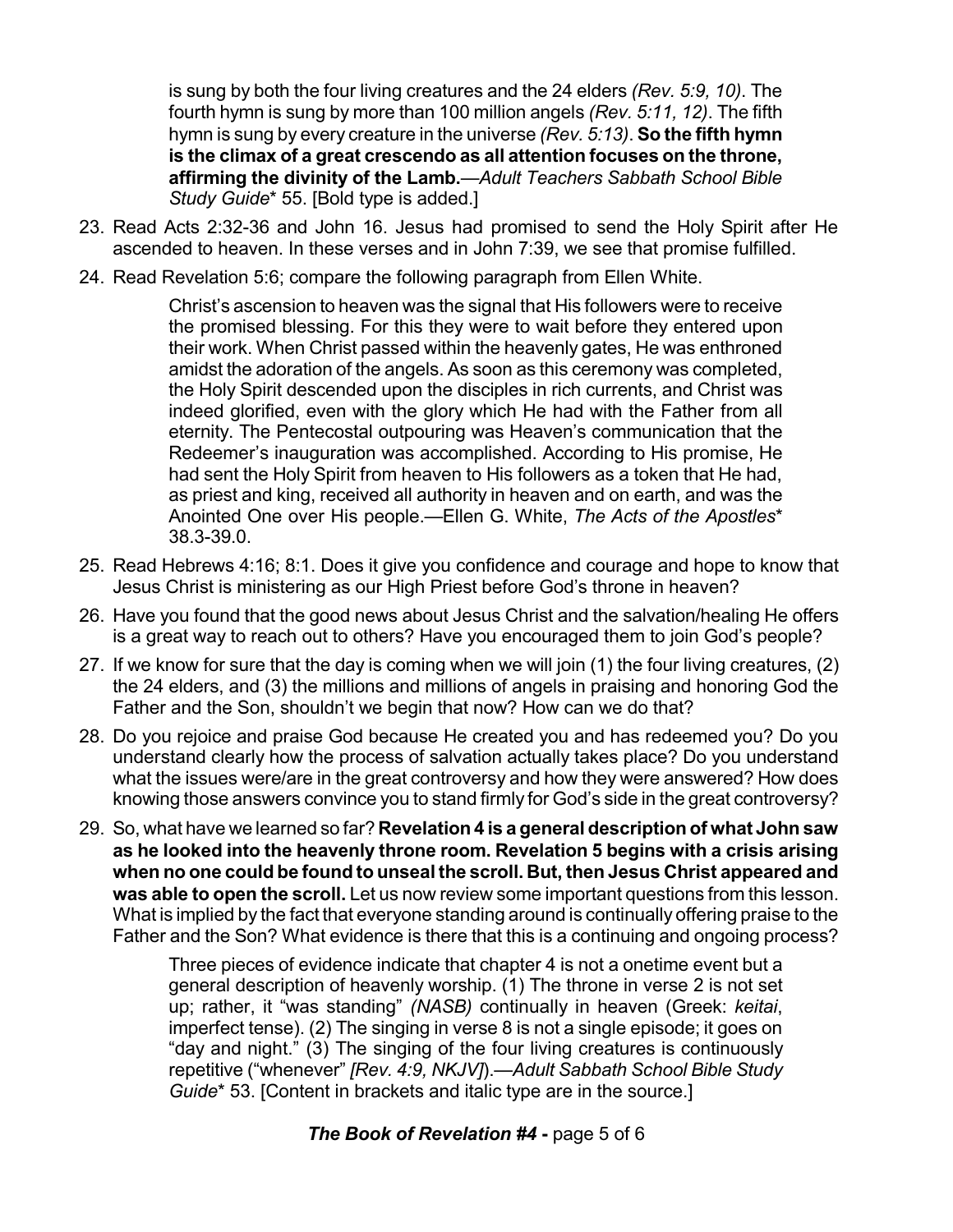is sung by both the four living creatures and the 24 elders *(Rev. 5:9, 10)*. The fourth hymn is sung by more than 100 million angels *(Rev. 5:11, 12)*. The fifth hymn is sung by every creature in the universe *(Rev. 5:13)*. **So the fifth hymn is the climax of a great crescendo as all attention focuses on the throne, affirming the divinity of the Lamb.**—*Adult Teachers Sabbath School Bible Study Guide*\* 55. [Bold type is added.]

- 23. Read Acts 2:32-36 and John 16. Jesus had promised to send the Holy Spirit after He ascended to heaven. In these verses and in John 7:39, we see that promise fulfilled.
- 24. Read Revelation 5:6; compare the following paragraph from Ellen White.

Christ's ascension to heaven was the signal that His followers were to receive the promised blessing. For this they were to wait before they entered upon their work. When Christ passed within the heavenly gates, He was enthroned amidst the adoration of the angels. As soon as this ceremony was completed, the Holy Spirit descended upon the disciples in rich currents, and Christ was indeed glorified, even with the glory which He had with the Father from all eternity. The Pentecostal outpouring was Heaven's communication that the Redeemer's inauguration was accomplished. According to His promise, He had sent the Holy Spirit from heaven to His followers as a token that He had, as priest and king, received all authority in heaven and on earth, and was the Anointed One over His people.—Ellen G. White, *The Acts of the Apostles*\* 38.3-39.0.

- 25. Read Hebrews 4:16; 8:1. Does it give you confidence and courage and hope to know that Jesus Christ is ministering as our High Priest before God's throne in heaven?
- 26. Have you found that the good news about Jesus Christ and the salvation/healing He offers is a great way to reach out to others? Have you encouraged them to join God's people?
- 27. If we know for sure that the day is coming when we will join (1) the four living creatures, (2) the 24 elders, and (3) the millions and millions of angels in praising and honoring God the Father and the Son, shouldn't we begin that now? How can we do that?
- 28. Do you rejoice and praise God because He created you and has redeemed you? Do you understand clearly how the process of salvation actually takes place? Do you understand what the issues were/are in the great controversy and how they were answered? How does knowing those answers convince you to stand firmly for God's side in the great controversy?
- 29. So, what have we learned so far? **Revelation 4 is a general description of what John saw as he looked into the heavenly throne room. Revelation 5 begins with a crisis arising when no one could be found to unseal the scroll. But, then Jesus Christ appeared and was able to open the scroll.** Let us now review some important questions from this lesson. What is implied by the fact that everyone standing around is continually offering praise to the Father and the Son? What evidence is there that this is a continuing and ongoing process?

Three pieces of evidence indicate that chapter 4 is not a onetime event but a general description of heavenly worship.  $(1)$  The throne in verse 2 is not set up; rather, it "was standing" *(NASB)* continually in heaven (Greek: *keitai*, imperfect tense). (2) The singing in verse 8 is not a single episode; it goes on "day and night." (3) The singing of the four living creatures is continuously repetitive ("whenever" *[Rev. 4:9, NKJV]*).—*Adult Sabbath School Bible Study Guide*\* 53. [Content in brackets and italic type are in the source.]

## *The Book of Revelation #4* **-** page 5 of 6